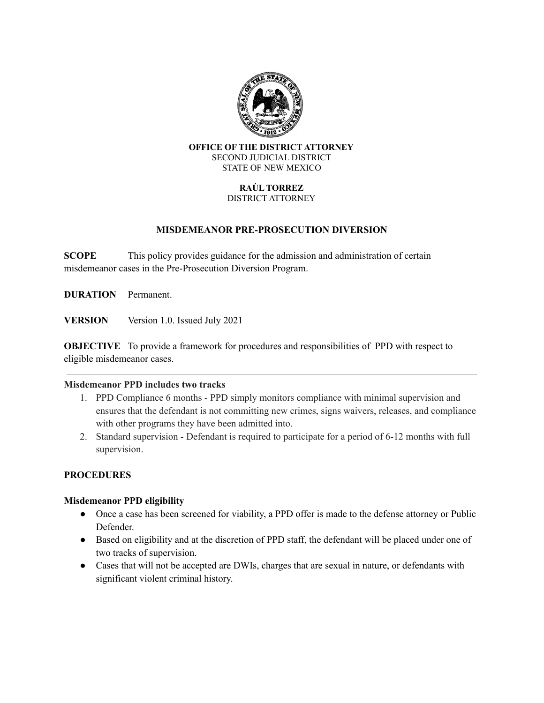

#### **OFFICE OF THE DISTRICT ATTORNEY** SECOND JUDICIAL DISTRICT STATE OF NEW MEXICO

#### **RAÚL TORREZ** DISTRICT ATTORNEY

# **MISDEMEANOR PRE-PROSECUTION DIVERSION**

**SCOPE** This policy provides guidance for the admission and administration of certain misdemeanor cases in the Pre-Prosecution Diversion Program.

**DURATION** Permanent.

**VERSION** Version 1.0. Issued July 2021

**OBJECTIVE** To provide a framework for procedures and responsibilities of PPD with respect to eligible misdemeanor cases.

#### **Misdemeanor PPD includes two tracks**

- 1. PPD Compliance 6 months PPD simply monitors compliance with minimal supervision and ensures that the defendant is not committing new crimes, signs waivers, releases, and compliance with other programs they have been admitted into.
- 2. Standard supervision Defendant is required to participate for a period of 6-12 months with full supervision.

# **PROCEDURES**

# **Misdemeanor PPD eligibility**

- Once a case has been screened for viability, a PPD offer is made to the defense attorney or Public Defender.
- Based on eligibility and at the discretion of PPD staff, the defendant will be placed under one of two tracks of supervision.
- Cases that will not be accepted are DWIs, charges that are sexual in nature, or defendants with significant violent criminal history.